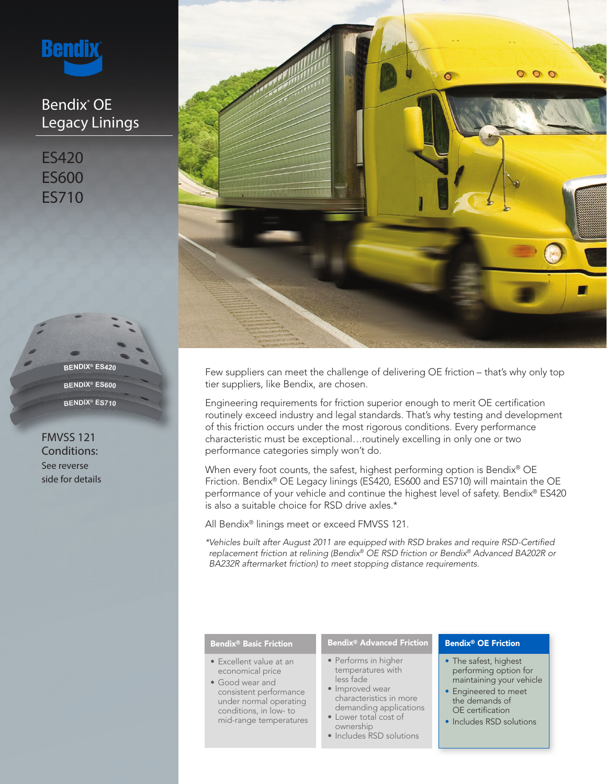

# Bendix® OE Legacy Linings

ES420 ES600 ES710

> **BENDIX® ES710 BENDIX® ES600 BENDIX® ES420**

FMVSS 121 Conditions: See reverse side for details



Few suppliers can meet the challenge of delivering OE friction – that's why only top tier suppliers, like Bendix, are chosen.

Engineering requirements for friction superior enough to merit OE certification routinely exceed industry and legal standards. That's why testing and development of this friction occurs under the most rigorous conditions. Every performance characteristic must be exceptional…routinely excelling in only one or two performance categories simply won't do.

When every foot counts, the safest, highest performing option is Bendix<sup>®</sup> OE Friction. Bendix® OE Legacy linings (ES420, ES600 and ES710) will maintain the OE performance of your vehicle and continue the highest level of safety. Bendix® ES420 is also a suitable choice for RSD drive axles.\*

All Bendix® linings meet or exceed FMVSS 121.

*\*Vehicles built after August 2011 are equipped with RSD brakes and require RSD-Certified replacement friction at relining (Bendix® OE RSD friction or Bendix® Advanced BA202R or BA232R aftermarket friction) to meet stopping distance requirements.*

## Bendix® Basic Friction

- Excellent value at an economical price
- Good wear and consistent performance under normal operating conditions, in low- to mid-range temperatures

# Bendix® Advanced Friction

- Performs in higher temperatures with less fade
- Improved wear characteristics in more demanding applications
- Lower total cost of ownership
- Includes RSD solutions

## Bendix® OE Friction

- The safest, highest performing option for maintaining your vehicle
- Engineered to meet the demands of OE certification
- Includes RSD solutions